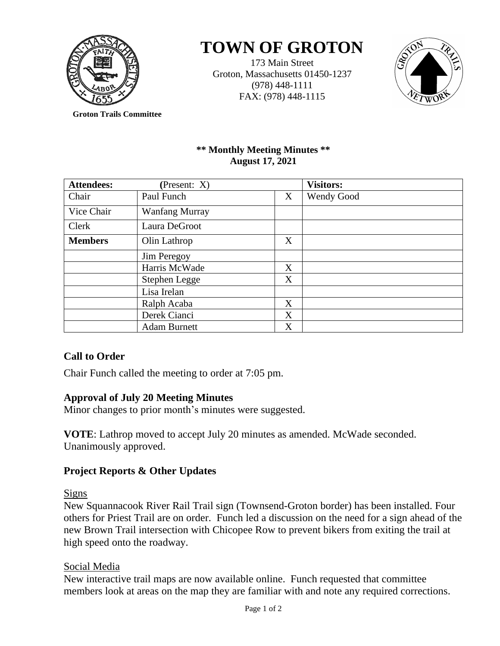

# **TOWN OF GROTON**

173 Main Street Groton, Massachusetts 01450-1237 (978) 448-1111 FAX: (978) 448-1115



**Groton Trails Committee**

## **\*\* Monthly Meeting Minutes \*\* August 17, 2021**

| <b>Attendees:</b> | (Present: $X$ )       |   | <b>Visitors:</b>  |
|-------------------|-----------------------|---|-------------------|
| Chair             | Paul Funch            | X | <b>Wendy Good</b> |
| Vice Chair        | <b>Wanfang Murray</b> |   |                   |
| Clerk             | Laura DeGroot         |   |                   |
| <b>Members</b>    | Olin Lathrop          | X |                   |
|                   | Jim Peregoy           |   |                   |
|                   | Harris McWade         | X |                   |
|                   | Stephen Legge         | X |                   |
|                   | Lisa Irelan           |   |                   |
|                   | Ralph Acaba           | X |                   |
|                   | Derek Cianci          | X |                   |
|                   | <b>Adam Burnett</b>   | X |                   |

# **Call to Order**

Chair Funch called the meeting to order at 7:05 pm.

# **Approval of July 20 Meeting Minutes**

Minor changes to prior month's minutes were suggested.

**VOTE**: Lathrop moved to accept July 20 minutes as amended. McWade seconded. Unanimously approved.

# **Project Reports & Other Updates**

Signs

New Squannacook River Rail Trail sign (Townsend-Groton border) has been installed. Four others for Priest Trail are on order. Funch led a discussion on the need for a sign ahead of the new Brown Trail intersection with Chicopee Row to prevent bikers from exiting the trail at high speed onto the roadway.

# Social Media

New interactive trail maps are now available online. Funch requested that committee members look at areas on the map they are familiar with and note any required corrections.